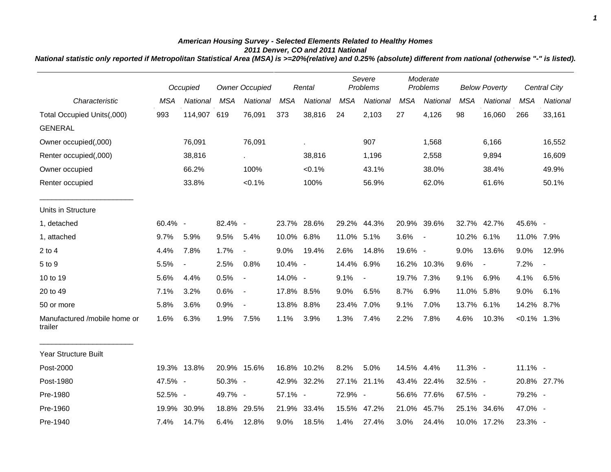## *American Housing Survey - Selected Elements Related to Healthy Homes 2011 Denver, CO and 2011 National*

*National statistic only reported if Metropolitan Statistical Area (MSA) is >=20%(relative) and 0.25% (absolute) different from national (otherwise "-" is listed).*

|                                         |            | Occupied                 |            | <b>Owner Occupied</b>    |            | Rental      |            | Severe<br>Problems |            | Moderate<br>Problems     |            | <b>Below Poverty</b> |                | <b>Central City</b> |
|-----------------------------------------|------------|--------------------------|------------|--------------------------|------------|-------------|------------|--------------------|------------|--------------------------|------------|----------------------|----------------|---------------------|
| Characteristic                          | <b>MSA</b> | National                 | <b>MSA</b> | National                 | <b>MSA</b> | National    | <b>MSA</b> | National           | <b>MSA</b> | National                 | <b>MSA</b> | National             | <b>MSA</b>     | National            |
| Total Occupied Units(,000)              | 993        | 114,907 619              |            | 76,091                   | 373        | 38,816      | 24         | 2,103              | 27         | 4,126                    | 98         | 16,060               | 266            | 33,161              |
| <b>GENERAL</b>                          |            |                          |            |                          |            |             |            |                    |            |                          |            |                      |                |                     |
| Owner occupied(,000)                    |            | 76,091                   |            | 76,091                   |            | ×.          |            | 907                |            | 1,568                    |            | 6,166                |                | 16,552              |
| Renter occupied(,000)                   |            | 38,816                   |            | $\sim$                   |            | 38,816      |            | 1,196              |            | 2,558                    |            | 9,894                |                | 16,609              |
| Owner occupied                          |            | 66.2%                    |            | 100%                     |            | $< 0.1\%$   |            | 43.1%              |            | 38.0%                    |            | 38.4%                |                | 49.9%               |
| Renter occupied                         |            | 33.8%                    |            | $< 0.1\%$                |            | 100%        |            | 56.9%              |            | 62.0%                    |            | 61.6%                |                | 50.1%               |
| Units in Structure                      |            |                          |            |                          |            |             |            |                    |            |                          |            |                      |                |                     |
| 1, detached                             | 60.4% -    |                          | 82.4% -    |                          |            | 23.7% 28.6% |            | 29.2% 44.3%        |            | 20.9% 39.6%              |            | 32.7% 42.7%          | 45.6% -        |                     |
| 1, attached                             | 9.7%       | 5.9%                     | 9.5%       | 5.4%                     | 10.0% 6.8% |             | 11.0% 5.1% |                    | 3.6%       | $\overline{\phantom{a}}$ | 10.2%      | 6.1%                 | 11.0% 7.9%     |                     |
| $2$ to $4$                              | 4.4%       | 7.8%                     | 1.7%       | $\blacksquare$           | 9.0%       | 19.4%       | 2.6%       | 14.8%              | 19.6% -    |                          | 9.0%       | 13.6%                | 9.0%           | 12.9%               |
| 5 to 9                                  | 5.5%       | $\overline{\phantom{a}}$ | 2.5%       | 0.8%                     | 10.4% -    |             | 14.4% 6.9% |                    |            | 16.2% 10.3%              | 9.6%       | $\blacksquare$       | 7.2%           | $\blacksquare$      |
| 10 to 19                                | 5.6%       | 4.4%                     | 0.5%       | $\overline{\phantom{a}}$ | 14.0% -    |             | 9.1%       | $\blacksquare$     | 19.7% 7.3% |                          | 9.1%       | 6.9%                 | 4.1%           | 6.5%                |
| 20 to 49                                | 7.1%       | 3.2%                     | 0.6%       | $\blacksquare$           | 17.8% 8.5% |             | 9.0%       | 6.5%               | 8.7%       | 6.9%                     | 11.0% 5.8% |                      | 9.0%           | 6.1%                |
| 50 or more                              | 5.8%       | 3.6%                     | 0.9%       | $\overline{\phantom{a}}$ | 13.8% 8.8% |             | 23.4% 7.0% |                    | 9.1%       | 7.0%                     | 13.7%      | 6.1%                 | 14.2%          | 8.7%                |
| Manufactured /mobile home or<br>trailer | 1.6%       | 6.3%                     | 1.9%       | 7.5%                     | 1.1%       | 3.9%        | 1.3%       | 7.4%               | 2.2%       | 7.8%                     | 4.6%       | 10.3%                | $< 0.1\%$ 1.3% |                     |
| <b>Year Structure Built</b>             |            |                          |            |                          |            |             |            |                    |            |                          |            |                      |                |                     |
| Post-2000                               |            | 19.3% 13.8%              |            | 20.9% 15.6%              |            | 16.8% 10.2% | 8.2%       | 5.0%               | 14.5% 4.4% |                          | 11.3% -    |                      | $11.1\%$ -     |                     |
| Post-1980                               | 47.5% -    |                          | 50.3% -    |                          |            | 42.9% 32.2% |            | 27.1% 21.1%        |            | 43.4% 22.4%              | 32.5% -    |                      |                | 20.8% 27.7%         |
| Pre-1980                                | 52.5% -    |                          | 49.7% -    |                          | 57.1% -    |             | 72.9% -    |                    |            | 56.6% 77.6%              | 67.5% -    |                      | 79.2% -        |                     |
| Pre-1960                                | 19.9%      | 30.9%                    |            | 18.8% 29.5%              |            | 21.9% 33.4% |            | 15.5% 47.2%        | 21.0%      | 45.7%                    |            | 25.1% 34.6%          | 47.0% -        |                     |
| Pre-1940                                | 7.4%       | 14.7%                    | 6.4%       | 12.8%                    | 9.0%       | 18.5%       | 1.4%       | 27.4%              | 3.0%       | 24.4%                    |            | 10.0% 17.2%          | 23.3% -        |                     |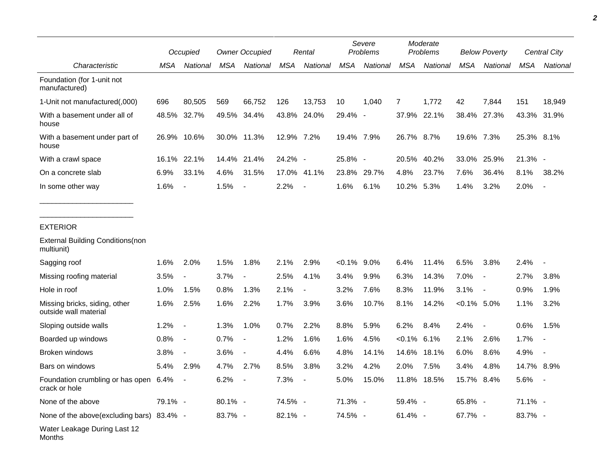|                                                        |         | Occupied                 |            | <b>Owner Occupied</b>    |            | Rental                   |               | Severe<br>Problems |                | Moderate<br>Problems |                | <b>Below Poverty</b>     |            | <b>Central City</b> |
|--------------------------------------------------------|---------|--------------------------|------------|--------------------------|------------|--------------------------|---------------|--------------------|----------------|----------------------|----------------|--------------------------|------------|---------------------|
| Characteristic                                         | MSA     | National                 | <b>MSA</b> | National                 | MSA        | National                 | <b>MSA</b>    | National           | <b>MSA</b>     | National             | <b>MSA</b>     | National                 | <b>MSA</b> | National            |
| Foundation (for 1-unit not<br>manufactured)            |         |                          |            |                          |            |                          |               |                    |                |                      |                |                          |            |                     |
| 1-Unit not manufactured(,000)                          | 696     | 80,505                   | 569        | 66,752                   | 126        | 13,753                   | 10            | 1,040              | 7              | 1,772                | 42             | 7,844                    | 151        | 18,949              |
| With a basement under all of<br>house                  | 48.5%   | 32.7%                    | 49.5%      | 34.4%                    | 43.8%      | 24.0%                    | 29.4% -       |                    | 37.9%          | 22.1%                | 38.4%          | 27.3%                    | 43.3%      | 31.9%               |
| With a basement under part of<br>house                 | 26.9%   | 10.6%                    |            | 30.0% 11.3%              | 12.9% 7.2% |                          | 19.4% 7.9%    |                    | 26.7% 8.7%     |                      | 19.6% 7.3%     |                          | 25.3% 8.1% |                     |
| With a crawl space                                     | 16.1%   | 22.1%                    |            | 14.4% 21.4%              | 24.2% -    |                          | 25.8% -       |                    | 20.5%          | 40.2%                | 33.0%          | 25.9%                    | $21.3\%$ - |                     |
| On a concrete slab                                     | 6.9%    | 33.1%                    | 4.6%       | 31.5%                    |            | 17.0% 41.1%              | 23.8%         | 29.7%              | 4.8%           | 23.7%                | 7.6%           | 36.4%                    | 8.1%       | 38.2%               |
| In some other way                                      | 1.6%    | $\blacksquare$           | 1.5%       | $\overline{\phantom{a}}$ | 2.2%       | $\blacksquare$           | 1.6%          | 6.1%               | 10.2%          | 5.3%                 | 1.4%           | 3.2%                     | 2.0%       |                     |
| <b>EXTERIOR</b>                                        |         |                          |            |                          |            |                          |               |                    |                |                      |                |                          |            |                     |
| <b>External Building Conditions (non</b><br>multiunit) |         |                          |            |                          |            |                          |               |                    |                |                      |                |                          |            |                     |
| Sagging roof                                           | 1.6%    | 2.0%                     | 1.5%       | 1.8%                     | 2.1%       | 2.9%                     | $<0.1\%$ 9.0% |                    | 6.4%           | 11.4%                | 6.5%           | 3.8%                     | 2.4%       |                     |
| Missing roofing material                               | 3.5%    | $\overline{\phantom{a}}$ | 3.7%       |                          | 2.5%       | 4.1%                     | 3.4%          | 9.9%               | 6.3%           | 14.3%                | 7.0%           | $\overline{\phantom{a}}$ | 2.7%       | 3.8%                |
| Hole in roof                                           | 1.0%    | 1.5%                     | 0.8%       | 1.3%                     | 2.1%       | $\overline{\phantom{a}}$ | 3.2%          | 7.6%               | 8.3%           | 11.9%                | 3.1%           | $\overline{\phantom{a}}$ | 0.9%       | 1.9%                |
| Missing bricks, siding, other<br>outside wall material | 1.6%    | 2.5%                     | 1.6%       | 2.2%                     | 1.7%       | 3.9%                     | 3.6%          | 10.7%              | 8.1%           | 14.2%                | $< 0.1\%$ 5.0% |                          | 1.1%       | 3.2%                |
| Sloping outside walls                                  | 1.2%    | $\blacksquare$           | 1.3%       | 1.0%                     | 0.7%       | 2.2%                     | 8.8%          | 5.9%               | 6.2%           | 8.4%                 | 2.4%           | $\overline{\phantom{a}}$ | 0.6%       | 1.5%                |
| Boarded up windows                                     | 0.8%    | $\blacksquare$           | 0.7%       |                          | 1.2%       | 1.6%                     | 1.6%          | 4.5%               | $< 0.1\%$ 6.1% |                      | 2.1%           | 2.6%                     | 1.7%       |                     |
| Broken windows                                         | 3.8%    | $\overline{\phantom{a}}$ | 3.6%       | $\overline{\phantom{a}}$ | 4.4%       | 6.6%                     | 4.8%          | 14.1%              | 14.6%          | 18.1%                | 6.0%           | 8.6%                     | 4.9%       |                     |
| Bars on windows                                        | 5.4%    | 2.9%                     | 4.7%       | 2.7%                     | 8.5%       | 3.8%                     | 3.2%          | 4.2%               | 2.0%           | 7.5%                 | 3.4%           | 4.8%                     | 14.7% 8.9% |                     |
| Foundation crumbling or has open 6.4%<br>crack or hole |         |                          | 6.2%       |                          | 7.3%       |                          | 5.0%          | 15.0%              |                | 11.8% 18.5%          | 15.7% 8.4%     |                          | 5.6%       |                     |
| None of the above                                      | 79.1% - |                          | 80.1% -    |                          | 74.5% -    |                          | 71.3% -       |                    | 59.4% -        |                      | 65.8% -        |                          | 71.1% -    |                     |
| None of the above (excluding bars) 83.4% -             |         |                          | 83.7% -    |                          | 82.1% -    |                          | 74.5% -       |                    | 61.4% -        |                      | 67.7% -        |                          | 83.7% -    |                     |
| Water Leakage During Last 12<br>Months                 |         |                          |            |                          |            |                          |               |                    |                |                      |                |                          |            |                     |

٠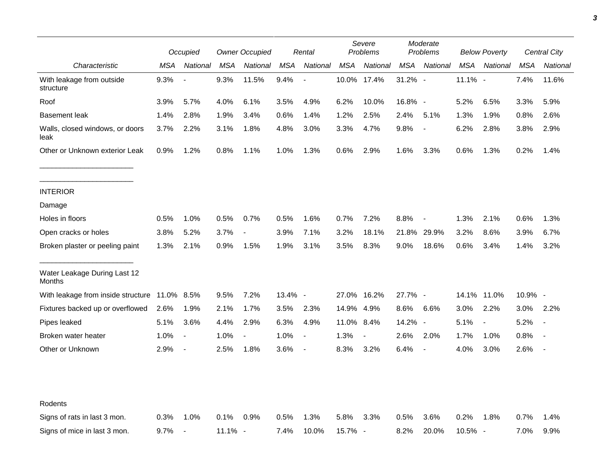|                                         |            | Occupied                 | <b>Owner Occupied</b> |                          | Rental  |                          | Severe<br>Problems |             | Moderate<br>Problems |                          | <b>Below Poverty</b> |                          | Central City |          |
|-----------------------------------------|------------|--------------------------|-----------------------|--------------------------|---------|--------------------------|--------------------|-------------|----------------------|--------------------------|----------------------|--------------------------|--------------|----------|
| Characteristic                          | MSA        | National                 | MSA                   | National                 | MSA     | National                 | MSA                | National    | MSA                  | National                 | <b>MSA</b>           | National                 | <b>MSA</b>   | National |
| With leakage from outside<br>structure  | 9.3%       |                          | 9.3%                  | 11.5%                    | 9.4%    | $\overline{\phantom{a}}$ |                    | 10.0% 17.4% | $31.2\%$ -           |                          | 11.1% -              |                          | 7.4%         | 11.6%    |
| Roof                                    | 3.9%       | 5.7%                     | 4.0%                  | 6.1%                     | 3.5%    | 4.9%                     | 6.2%               | 10.0%       | 16.8% -              |                          | 5.2%                 | 6.5%                     | 3.3%         | 5.9%     |
| <b>Basement leak</b>                    | 1.4%       | 2.8%                     | 1.9%                  | 3.4%                     | 0.6%    | 1.4%                     | 1.2%               | 2.5%        | 2.4%                 | 5.1%                     | 1.3%                 | 1.9%                     | 0.8%         | 2.6%     |
| Walls, closed windows, or doors<br>leak | 3.7%       | 2.2%                     | 3.1%                  | 1.8%                     | 4.8%    | 3.0%                     | 3.3%               | 4.7%        | 9.8%                 | $\overline{\phantom{a}}$ | 6.2%                 | 2.8%                     | 3.8%         | 2.9%     |
| Other or Unknown exterior Leak          | 0.9%       | 1.2%                     | 0.8%                  | 1.1%                     | 1.0%    | 1.3%                     | 0.6%               | 2.9%        | 1.6%                 | 3.3%                     | 0.6%                 | 1.3%                     | 0.2%         | 1.4%     |
| <b>INTERIOR</b>                         |            |                          |                       |                          |         |                          |                    |             |                      |                          |                      |                          |              |          |
| Damage                                  |            |                          |                       |                          |         |                          |                    |             |                      |                          |                      |                          |              |          |
| Holes in floors                         | 0.5%       | 1.0%                     | 0.5%                  | 0.7%                     | 0.5%    | 1.6%                     | 0.7%               | 7.2%        | 8.8%                 |                          | 1.3%                 | 2.1%                     | 0.6%         | 1.3%     |
| Open cracks or holes                    | 3.8%       | 5.2%                     | 3.7%                  | $\overline{\phantom{a}}$ | 3.9%    | 7.1%                     | 3.2%               | 18.1%       | 21.8%                | 29.9%                    | 3.2%                 | 8.6%                     | 3.9%         | 6.7%     |
| Broken plaster or peeling paint         | 1.3%       | 2.1%                     | 0.9%                  | 1.5%                     | 1.9%    | 3.1%                     | 3.5%               | 8.3%        | 9.0%                 | 18.6%                    | 0.6%                 | 3.4%                     | 1.4%         | 3.2%     |
| Water Leakage During Last 12<br>Months  |            |                          |                       |                          |         |                          |                    |             |                      |                          |                      |                          |              |          |
| With leakage from inside structure      | 11.0% 8.5% |                          | 9.5%                  | 7.2%                     | 13.4% - |                          |                    | 27.0% 16.2% | 27.7% -              |                          |                      | 14.1% 11.0%              | 10.9% -      |          |
| Fixtures backed up or overflowed        | 2.6%       | 1.9%                     | 2.1%                  | 1.7%                     | 3.5%    | 2.3%                     | 14.9%              | 4.9%        | 8.6%                 | 6.6%                     | 3.0%                 | 2.2%                     | 3.0%         | 2.2%     |
| Pipes leaked                            | 5.1%       | 3.6%                     | 4.4%                  | 2.9%                     | 6.3%    | 4.9%                     | 11.0% 8.4%         |             | 14.2%                | $\overline{\phantom{a}}$ | 5.1%                 | $\overline{\phantom{a}}$ | 5.2%         |          |
| Broken water heater                     | 1.0%       | $\overline{\phantom{a}}$ | 1.0%                  | $\blacksquare$           | 1.0%    | $\overline{\phantom{a}}$ | 1.3%               |             | 2.6%                 | 2.0%                     | 1.7%                 | 1.0%                     | 0.8%         |          |
| Other or Unknown                        | 2.9%       | $\blacksquare$           | 2.5%                  | 1.8%                     | 3.6%    | $\blacksquare$           | 8.3%               | 3.2%        | 6.4%                 | $\overline{\phantom{a}}$ | 4.0%                 | 3.0%                     | 2.6%         |          |
| Rodents                                 |            |                          |                       |                          |         |                          |                    |             |                      |                          |                      |                          |              |          |
| Signs of rats in last 3 mon.            | 0.3%       | 1.0%                     | 0.1%                  | 0.9%                     | 0.5%    | 1.3%                     | 5.8%               | 3.3%        | 0.5%                 | 3.6%                     | 0.2%                 | 1.8%                     | 0.7%         | 1.4%     |
| Signs of mice in last 3 mon.            | 9.7%       | $\overline{\phantom{a}}$ | $11.1\%$ -            |                          | 7.4%    | 10.0%                    | 15.7% -            |             | 8.2%                 | 20.0%                    | $10.5\%$ -           |                          | 7.0%         | 9.9%     |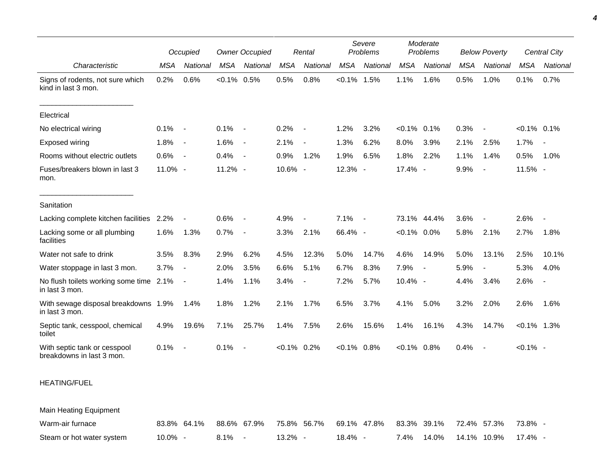|                                                           |         | Occupied                 | <b>Owner Occupied</b> |                          |                | Rental                   | Severe<br>Problems |          | Moderate<br>Problems |                          | <b>Below Poverty</b> |                          |                | Central City             |
|-----------------------------------------------------------|---------|--------------------------|-----------------------|--------------------------|----------------|--------------------------|--------------------|----------|----------------------|--------------------------|----------------------|--------------------------|----------------|--------------------------|
| Characteristic                                            | MSA     | National                 | MSA                   | National                 | <b>MSA</b>     | National                 | <b>MSA</b>         | National | <b>MSA</b>           | National                 | <b>MSA</b>           | National                 | <b>MSA</b>     | National                 |
| Signs of rodents, not sure which<br>kind in last 3 mon.   | 0.2%    | 0.6%                     | $< 0.1\%$ 0.5%        |                          | 0.5%           | 0.8%                     | $< 0.1\%$          | 1.5%     | 1.1%                 | 1.6%                     | 0.5%                 | 1.0%                     | 0.1%           | 0.7%                     |
| Electrical                                                |         |                          |                       |                          |                |                          |                    |          |                      |                          |                      |                          |                |                          |
| No electrical wiring                                      | 0.1%    | $\overline{\phantom{a}}$ | 0.1%                  | $\overline{\phantom{a}}$ | 0.2%           | $\overline{\phantom{a}}$ | 1.2%               | 3.2%     | $< 0.1\%$ 0.1%       |                          | 0.3%                 |                          | $< 0.1\%$ 0.1% |                          |
| Exposed wiring                                            | 1.8%    | $\overline{\phantom{a}}$ | 1.6%                  | $\blacksquare$           | 2.1%           | $\overline{a}$           | 1.3%               | 6.2%     | 8.0%                 | 3.9%                     | 2.1%                 | 2.5%                     | 1.7%           | $\overline{\phantom{a}}$ |
| Rooms without electric outlets                            | 0.6%    | $\sim$                   | 0.4%                  | $\sim$                   | 0.9%           | 1.2%                     | 1.9%               | 6.5%     | 1.8%                 | 2.2%                     | 1.1%                 | 1.4%                     | 0.5%           | 1.0%                     |
| Fuses/breakers blown in last 3<br>mon.                    | 11.0% - |                          | 11.2% -               |                          | 10.6% -        |                          | 12.3% -            |          | 17.4% -              |                          | 9.9%                 | $\blacksquare$           | 11.5% -        |                          |
| Sanitation                                                |         |                          |                       |                          |                |                          |                    |          |                      |                          |                      |                          |                |                          |
| Lacking complete kitchen facilities 2.2%                  |         |                          | 0.6%                  |                          | 4.9%           |                          | 7.1%               | $\sim$   |                      | 73.1% 44.4%              | 3.6%                 |                          | 2.6%           |                          |
| Lacking some or all plumbing<br>facilities                | 1.6%    | 1.3%                     | 0.7%                  | $\overline{\phantom{a}}$ | 3.3%           | 2.1%                     | 66.4% -            |          | $< 0.1\%$ 0.0%       |                          | 5.8%                 | 2.1%                     | 2.7%           | 1.8%                     |
| Water not safe to drink                                   | 3.5%    | 8.3%                     | 2.9%                  | 6.2%                     | 4.5%           | 12.3%                    | 5.0%               | 14.7%    | 4.6%                 | 14.9%                    | 5.0%                 | 13.1%                    | 2.5%           | 10.1%                    |
| Water stoppage in last 3 mon.                             | 3.7%    | $\overline{\phantom{a}}$ | 2.0%                  | 3.5%                     | 6.6%           | 5.1%                     | 6.7%               | 8.3%     | 7.9%                 | $\overline{\phantom{a}}$ | 5.9%                 | $\overline{\phantom{a}}$ | 5.3%           | 4.0%                     |
| No flush toilets working some time 2.1%<br>in last 3 mon. |         | $\overline{\phantom{a}}$ | 1.4%                  | 1.1%                     | 3.4%           |                          | 7.2%               | 5.7%     | 10.4% -              |                          | 4.4%                 | 3.4%                     | 2.6%           | $\sim$                   |
| With sewage disposal breakdowns 1.9%<br>in last 3 mon.    |         | 1.4%                     | 1.8%                  | 1.2%                     | 2.1%           | 1.7%                     | 6.5%               | 3.7%     | 4.1%                 | 5.0%                     | 3.2%                 | 2.0%                     | 2.6%           | 1.6%                     |
| Septic tank, cesspool, chemical<br>toilet                 | 4.9%    | 19.6%                    | 7.1%                  | 25.7%                    | 1.4%           | 7.5%                     | 2.6%               | 15.6%    | 1.4%                 | 16.1%                    | 4.3%                 | 14.7%                    | $< 0.1\%$ 1.3% |                          |
| With septic tank or cesspool<br>breakdowns in last 3 mon. | 0.1%    | $\overline{\phantom{a}}$ | 0.1%                  | $\overline{\phantom{a}}$ | $< 0.1\%$ 0.2% |                          | $< 0.1\%$ 0.8%     |          | $< 0.1\%$ 0.8%       |                          | 0.4%                 | $\overline{\phantom{a}}$ | $< 0.1\%$ -    |                          |

## HEATING/FUEL

Main Heating Equipment Warm-air furnace 83.8% 64.1% 88.6% 67.9% 75.8% 56.7% 69.1% 47.8% 83.3% 39.1% 72.4% 57.3% 73.8% - Steam or hot water system  $10.0\%$  - 8.1% - 13.2% - 18.4% - 7.4% 14.0% 14.1% 10.9% 17.4% -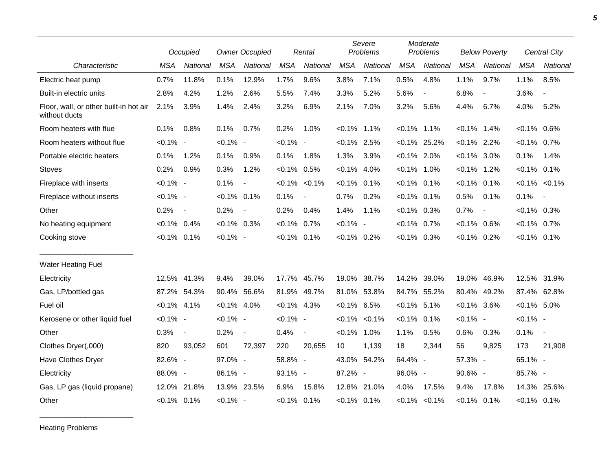|                                                         |                | Occupied       |                | <b>Owner Occupied</b>    |                | Rental            |                | Severe<br>Problems  |                | Moderate<br>Problems     |                | <b>Below Poverty</b> |                | Central City             |
|---------------------------------------------------------|----------------|----------------|----------------|--------------------------|----------------|-------------------|----------------|---------------------|----------------|--------------------------|----------------|----------------------|----------------|--------------------------|
| Characteristic                                          | <b>MSA</b>     | National       | <b>MSA</b>     | National                 | <b>MSA</b>     | National          | <b>MSA</b>     | National            | <b>MSA</b>     | National                 | <b>MSA</b>     | National             | <b>MSA</b>     | <b>National</b>          |
| Electric heat pump                                      | 0.7%           | 11.8%          | 0.1%           | 12.9%                    | 1.7%           | 9.6%              | 3.8%           | 7.1%                | 0.5%           | 4.8%                     | 1.1%           | 9.7%                 | 1.1%           | 8.5%                     |
| Built-in electric units                                 | 2.8%           | 4.2%           | 1.2%           | 2.6%                     | 5.5%           | 7.4%              | 3.3%           | 5.2%                | 5.6%           | $\overline{\phantom{a}}$ | 6.8%           | $\blacksquare$       | 3.6%           | $\overline{\phantom{a}}$ |
| Floor, wall, or other built-in hot air<br>without ducts | 2.1%           | 3.9%           | 1.4%           | 2.4%                     | 3.2%           | 6.9%              | 2.1%           | 7.0%                | 3.2%           | 5.6%                     | 4.4%           | 6.7%                 | 4.0%           | 5.2%                     |
| Room heaters with flue                                  | 0.1%           | 0.8%           | 0.1%           | 0.7%                     | 0.2%           | 1.0%              | $< 0.1\%$ 1.1% |                     | $< 0.1\%$      | $1.1\%$                  | $< 0.1\%$      | 1.4%                 | $< 0.1\%$ 0.6% |                          |
| Room heaters without flue                               | $< 0.1\%$ -    |                | $< 0.1\%$ -    |                          | $< 0.1\%$ -    |                   | $< 0.1\%$ 2.5% |                     |                | $< 0.1\%$ 25.2%          | $< 0.1\%$ 2.2% |                      | $< 0.1\%$ 0.7% |                          |
| Portable electric heaters                               | 0.1%           | 1.2%           | 0.1%           | 0.9%                     | 0.1%           | 1.8%              | 1.3%           | 3.9%                | $< 0.1\%$ 2.0% |                          | $< 0.1\%$      | 3.0%                 | 0.1%           | 1.4%                     |
| <b>Stoves</b>                                           | 0.2%           | 0.9%           | 0.3%           | 1.2%                     | $< 0.1\%$ 0.5% |                   | $< 0.1\%$ 4.0% |                     | $< 0.1\%$ 1.0% |                          | $< 0.1\%$ 1.2% |                      | $< 0.1\%$ 0.1% |                          |
| Fireplace with inserts                                  | $< 0.1\%$ -    |                | 0.1%           | $\overline{\phantom{a}}$ |                | $< 0.1\% < 0.1\%$ | $< 0.1\%$ 0.1% |                     | $< 0.1\%$ 0.1% |                          | $< 0.1\%$ 0.1% |                      |                | $< 0.1\% < 0.1\%$        |
| Fireplace without inserts                               | $< 0.1\%$ -    |                | $< 0.1\%$ 0.1% |                          | 0.1%           | $\blacksquare$    | 0.7%           | 0.2%                | $< 0.1\%$ 0.1% |                          | 0.5%           | 0.1%                 | 0.1%           | $\sim$                   |
| Other                                                   | 0.2%           | $\sim$         | 0.2%           | $\overline{\phantom{a}}$ | 0.2%           | 0.4%              | 1.4%           | 1.1%                | $<0.1\%$ 0.3%  |                          | 0.7%           |                      | $< 0.1\%$ 0.3% |                          |
| No heating equipment                                    | $< 0.1\%$ 0.4% |                | $< 0.1\%$ 0.3% |                          | $< 0.1\%$ 0.7% |                   | $< 0.1\%$ -    |                     | $< 0.1\%$      | 0.7%                     | $< 0.1\%$ 0.6% |                      | $< 0.1\%$ 0.7% |                          |
| Cooking stove                                           | $< 0.1\%$ 0.1% |                | $< 0.1\%$ -    |                          | $< 0.1\%$ 0.1% |                   | $< 0.1\%$ 0.2% |                     | $<0.1\%$ 0.3%  |                          | $< 0.1\%$ 0.2% |                      | $< 0.1\%$ 0.1% |                          |
| <b>Water Heating Fuel</b>                               |                |                |                |                          |                |                   |                |                     |                |                          |                |                      |                |                          |
| Electricity                                             |                | 12.5% 41.3%    | 9.4%           | 39.0%                    |                | 17.7% 45.7%       | 19.0%          | 38.7%               | 14.2%          | 39.0%                    | 19.0%          | 46.9%                |                | 12.5% 31.9%              |
| Gas, LP/bottled gas                                     |                | 87.2% 54.3%    |                | 90.4% 56.6%              |                | 81.9% 49.7%       | 81.0%          | 53.8%               | 84.7%          | 55.2%                    | 80.4%          | 49.2%                |                | 87.4% 62.8%              |
| Fuel oil                                                | $< 0.1\%$ 4.1% |                | $< 0.1\%$ 4.0% |                          | $< 0.1\%$ 4.3% |                   | $< 0.1\%$ 6.5% |                     | $< 0.1\%$ 5.1% |                          | $< 0.1\%$ 3.6% |                      | $< 0.1\%$ 5.0% |                          |
| Kerosene or other liquid fuel                           | $< 0.1\%$ -    |                | $< 0.1\%$ -    |                          | $< 0.1\%$ -    |                   |                | $< 0.1\%$ $< 0.1\%$ | $< 0.1\%$      | 0.1%                     | $< 0.1\%$ -    |                      | $< 0.1\%$ -    |                          |
| Other                                                   | 0.3%           | $\blacksquare$ | 0.2%           | $\blacksquare$           | 0.4%           | $\blacksquare$    | $< 0.1\%$      | 1.0%                | 1.1%           | 0.5%                     | 0.6%           | 0.3%                 | 0.1%           | $\overline{\phantom{a}}$ |
| Clothes Dryer(,000)                                     | 820            | 93,052         | 601            | 72,397                   | 220            | 20,655            | 10             | 1,139               | 18             | 2,344                    | 56             | 9,825                | 173            | 21,908                   |
| Have Clothes Dryer                                      | 82.6% -        |                | 97.0% -        |                          | 58.8% -        |                   | 43.0% 54.2%    |                     | 64.4% -        |                          | 57.3% -        |                      | 65.1% -        |                          |
| Electricity                                             | 88.0% -        |                | 86.1% -        |                          | 93.1% -        |                   | 87.2% -        |                     | 96.0% -        |                          | 90.6% -        |                      | 85.7% -        |                          |
| Gas, LP gas (liquid propane)                            | 12.0%          | 21.8%          |                | 13.9% 23.5%              | 6.9%           | 15.8%             |                | 12.8% 21.0%         | 4.0%           | 17.5%                    | 9.4%           | 17.8%                |                | 14.3% 25.6%              |
| Other                                                   | $< 0.1\%$ 0.1% |                | $< 0.1\%$ -    |                          | $< 0.1\%$ 0.1% |                   | $< 0.1\%$ 0.1% |                     |                | $< 0.1\%$ $< 0.1\%$      | $< 0.1\%$ 0.1% |                      | $< 0.1\%$ 0.1% |                          |

Heating Problems

\_\_\_\_\_\_\_\_\_\_\_\_\_\_\_\_\_\_\_\_\_\_\_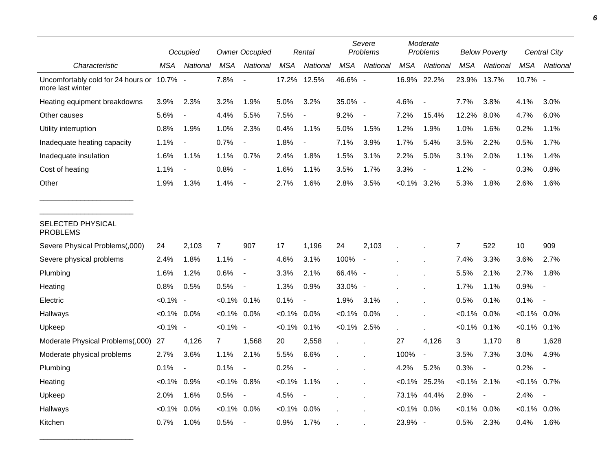|                                                                | Occupied       |                          |                | <b>Owner Occupied</b>    |            | Rental                   | Severe<br><b>Problems</b> |                          | Moderate<br>Problems |                          | <b>Below Poverty</b> |                          | Central City   |                          |
|----------------------------------------------------------------|----------------|--------------------------|----------------|--------------------------|------------|--------------------------|---------------------------|--------------------------|----------------------|--------------------------|----------------------|--------------------------|----------------|--------------------------|
| Characteristic                                                 | MSA            | National                 | <b>MSA</b>     | National                 | <b>MSA</b> | National                 | <b>MSA</b>                | National                 | <b>MSA</b>           | National                 | MSA                  | National                 | <b>MSA</b>     | National                 |
| Uncomfortably cold for 24 hours or 10.7% -<br>more last winter |                |                          | 7.8%           |                          | 17.2%      | 12.5%                    | 46.6% -                   |                          | 16.9% 22.2%          |                          | 23.9%                | 13.7%                    | 10.7% -        |                          |
| Heating equipment breakdowns                                   | 3.9%           | 2.3%                     | 3.2%           | 1.9%                     | 5.0%       | 3.2%                     | 35.0% -                   |                          | 4.6%                 |                          | 7.7%                 | 3.8%                     | 4.1%           | 3.0%                     |
| Other causes                                                   | 5.6%           | $\overline{\phantom{a}}$ | 4.4%           | 5.5%                     | 7.5%       | $\overline{a}$           | 9.2%                      | $\overline{\phantom{a}}$ | 7.2%                 | 15.4%                    | 12.2%                | 8.0%                     | 4.7%           | 6.0%                     |
| Utility interruption                                           | 0.8%           | 1.9%                     | 1.0%           | 2.3%                     | 0.4%       | 1.1%                     | 5.0%                      | 1.5%                     | 1.2%                 | 1.9%                     | 1.0%                 | 1.6%                     | 0.2%           | 1.1%                     |
| Inadequate heating capacity                                    | 1.1%           | $\blacksquare$           | 0.7%           | $\blacksquare$           | 1.8%       | $\overline{a}$           | 7.1%                      | 3.9%                     | 1.7%                 | 5.4%                     | 3.5%                 | 2.2%                     | 0.5%           | 1.7%                     |
| Inadequate insulation                                          | 1.6%           | 1.1%                     | 1.1%           | 0.7%                     | 2.4%       | 1.8%                     | 1.5%                      | 3.1%                     | 2.2%                 | 5.0%                     | 3.1%                 | 2.0%                     | 1.1%           | 1.4%                     |
| Cost of heating                                                | 1.1%           |                          | 0.8%           |                          | 1.6%       | 1.1%                     | 3.5%                      | 1.7%                     | 3.3%                 |                          | 1.2%                 |                          | 0.3%           | 0.8%                     |
| Other                                                          | 1.9%           | 1.3%                     | 1.4%           |                          | 2.7%       | 1.6%                     | 2.8%                      | 3.5%                     | $< 0.1\%$            | 3.2%                     | 5.3%                 | 1.8%                     | 2.6%           | 1.6%                     |
| SELECTED PHYSICAL<br><b>PROBLEMS</b>                           |                |                          |                |                          |            |                          |                           |                          |                      |                          |                      |                          |                |                          |
| Severe Physical Problems(,000)                                 | 24             | 2,103                    | $\overline{7}$ | 907                      | 17         | 1,196                    | 24                        | 2,103                    |                      |                          | $\overline{7}$       | 522                      | 10             | 909                      |
| Severe physical problems                                       | 2.4%           | 1.8%                     | 1.1%           | $\overline{\phantom{a}}$ | 4.6%       | 3.1%                     | 100%                      | $\overline{\phantom{a}}$ |                      |                          | 7.4%                 | 3.3%                     | 3.6%           | 2.7%                     |
| Plumbing                                                       | 1.6%           | 1.2%                     | 0.6%           | $\blacksquare$           | 3.3%       | 2.1%                     | 66.4% -                   |                          |                      |                          | 5.5%                 | 2.1%                     | 2.7%           | 1.8%                     |
| Heating                                                        | 0.8%           | 0.5%                     | 0.5%           | $\blacksquare$           | 1.3%       | 0.9%                     | 33.0% -                   |                          |                      |                          | 1.7%                 | 1.1%                     | 0.9%           | $\blacksquare$           |
| Electric                                                       | $< 0.1\%$ -    |                          | $< 0.1\%$ 0.1% |                          | 0.1%       | $\overline{\phantom{a}}$ | 1.9%                      | 3.1%                     |                      |                          | 0.5%                 | 0.1%                     | 0.1%           |                          |
| Hallways                                                       | $< 0.1\%$ 0.0% |                          | $< 0.1\%$ 0.0% |                          | $< 0.1\%$  | 0.0%                     | $< 0.1\%$ 0.0%            |                          |                      |                          | $< 0.1\%$            | 0.0%                     | $< 0.1\%$      | $0.0\%$                  |
| Upkeep                                                         | $< 0.1\%$ -    |                          | $< 0.1\%$ -    |                          | $< 0.1\%$  | 0.1%                     | $< 0.1\%$ 2.5%            |                          |                      |                          | $< 0.1\%$ 0.1%       |                          | $< 0.1\%$ 0.1% |                          |
| Moderate Physical Problems(,000)                               | 27             | 4,126                    | 7              | 1,568                    | 20         | 2,558                    | $\mathbf{r}$              |                          | 27                   | 4,126                    | 3                    | 1,170                    | 8              | 1,628                    |
| Moderate physical problems                                     | 2.7%           | 3.6%                     | 1.1%           | 2.1%                     | 5.5%       | 6.6%                     |                           |                          | 100%                 | $\blacksquare$           | 3.5%                 | 7.3%                     | 3.0%           | 4.9%                     |
| Plumbing                                                       | 0.1%           | $\overline{\phantom{a}}$ | 0.1%           |                          | 0.2%       |                          |                           |                          | 4.2%                 | 5.2%                     | 0.3%                 | $\overline{\phantom{a}}$ | 0.2%           |                          |
| Heating                                                        | $< 0.1\%$ 0.9% |                          | $< 0.1\%$      | 0.8%                     | $< 0.1\%$  | 1.1%                     |                           |                          | $< 0.1\%$ 25.2%      |                          | $< 0.1\%$ 2.1%       |                          | $< 0.1\%$      | 0.7%                     |
| Upkeep                                                         | 2.0%           | 1.6%                     | 0.5%           | $\overline{\phantom{a}}$ | 4.5%       | $\overline{\phantom{a}}$ |                           |                          | 73.1%                | 44.4%                    | 2.8%                 | $\overline{\phantom{a}}$ | 2.4%           | $\overline{\phantom{a}}$ |
| Hallways                                                       | $< 0.1\%$      | 0.0%                     | $< 0.1\%$ 0.0% |                          | $< 0.1\%$  | 0.0%                     |                           |                          | $< 0.1\%$ 0.0%       |                          | $< 0.1\%$ 0.0%       |                          | $< 0.1\%$ 0.0% |                          |
| Kitchen                                                        | 0.7%           | 1.0%                     | 0.5%           |                          | 0.9%       | 1.7%                     |                           |                          | 23.9%                | $\overline{\phantom{a}}$ | 0.5%                 | 2.3%                     | 0.4%           | 1.6%                     |

\_\_\_\_\_\_\_\_\_\_\_\_\_\_\_\_\_\_\_\_\_\_\_